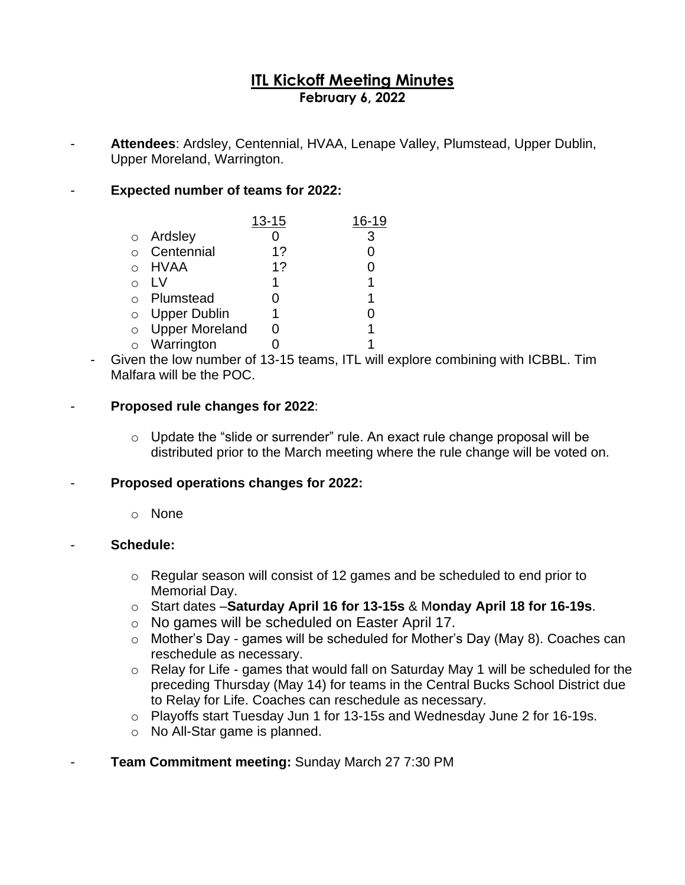# **ITL Kickoff Meeting Minutes February 6, 2022**

Attendees: Ardsley, Centennial, HVAA, Lenape Valley, Plumstead, Upper Dublin, Upper Moreland, Warrington.

## - **Expected number of teams for 2022:**

|         |                       | $13 - 15$ | 16-19 |
|---------|-----------------------|-----------|-------|
|         | o Ardsley             |           | 3     |
|         | Centennial            | 1?        | ი     |
|         | HVAA                  | 1?        |       |
|         | l V                   | 1         | 1     |
|         | Plumstead             |           | 1     |
| $\circ$ | <b>Upper Dublin</b>   | 1         |       |
| $\circ$ | <b>Upper Moreland</b> |           | 1     |
| $\circ$ | Warrington            |           | 1     |

- Given the low number of 13-15 teams, ITL will explore combining with ICBBL. Tim Malfara will be the POC.

#### - **Proposed rule changes for 2022**:

o Update the "slide or surrender" rule. An exact rule change proposal will be distributed prior to the March meeting where the rule change will be voted on.

#### - **Proposed operations changes for 2022:**

o None

#### - **Schedule:**

- o Regular season will consist of 12 games and be scheduled to end prior to Memorial Day.
- o Start dates –**Saturday April 16 for 13-15s** & M**onday April 18 for 16-19s**.
- o No games will be scheduled on Easter April 17.
- o Mother's Day games will be scheduled for Mother's Day (May 8). Coaches can reschedule as necessary.
- o Relay for Life games that would fall on Saturday May 1 will be scheduled for the preceding Thursday (May 14) for teams in the Central Bucks School District due to Relay for Life. Coaches can reschedule as necessary.
- o Playoffs start Tuesday Jun 1 for 13-15s and Wednesday June 2 for 16-19s.
- o No All-Star game is planned.

# **Team Commitment meeting: Sunday March 27 7:30 PM**